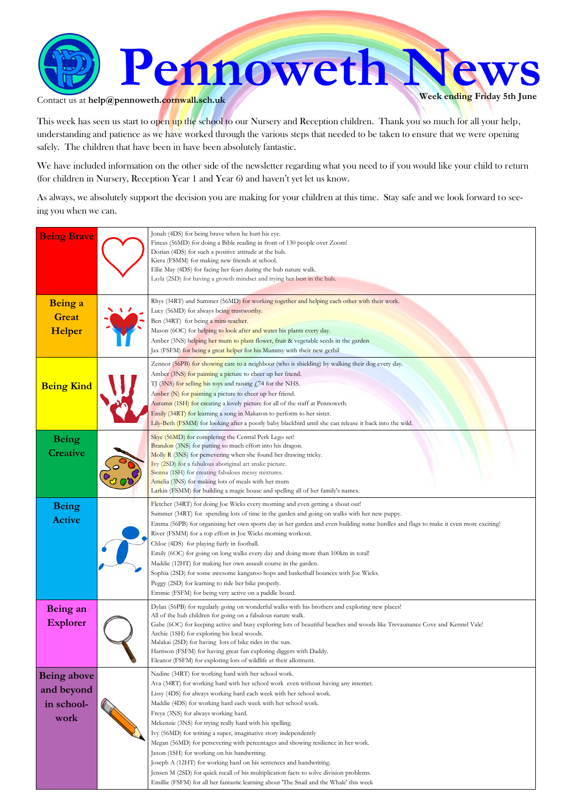

Contact us at  $\text{help@pennoweth.cornwall.sch.uk}$ 

This week has seen us start to open up the school to our Nursery and Reception children. Thank you so much for all your help, understanding and patience as we have worked through the various steps that needed to be taken to ensure that we were opening safely. The children that have been in have been absolutely fantastic.

We have included information on the other side of the newsletter regarding what you need to if you would like your child to return (for children in Nursery, Reception Year 1 and Year 6) and haven't yet let us know.

As always, we absolutely support the decision you are making for your children at this time. Stay safe and we look forward to seeing you when we can.

| <b>Being Brave</b>                                     | Jonah (4DS) for being brave when he hurt his eye.<br>Fineas (56MD) for doing a Bible reading in front of 130 people over Zoom!<br>Dorian (4DS) for such a positive attitude at the hub.<br>Kiera (FSMM) for making new friends at school.<br>Ellie May (4DS) for facing her fears during the hub nature walk.<br>Layla (2SD) for having a growth mindset and trying her best in the hub.                                                                                                                                                                                                                                                                                                                                                                                                                                                                  |
|--------------------------------------------------------|-----------------------------------------------------------------------------------------------------------------------------------------------------------------------------------------------------------------------------------------------------------------------------------------------------------------------------------------------------------------------------------------------------------------------------------------------------------------------------------------------------------------------------------------------------------------------------------------------------------------------------------------------------------------------------------------------------------------------------------------------------------------------------------------------------------------------------------------------------------|
| Being a<br><b>Great</b><br>Helper                      | Rhys (34RT) and Summer (56MD) for working together and helping each other with their work.<br>Lucy (56MD) for always being trustworthy.<br>Ben (34RT) for being a mini-teacher.<br>Mason (6OC) for helping to look after and water his plants every day.<br>Amber (3NS) helping her mum to plant flower, fruit & vegetable seeds in the garden<br>Jax (FSFM) for being a great helper for his Mummy with their new gerbil                                                                                                                                                                                                                                                                                                                                                                                                                                 |
| <b>Being Kind</b>                                      | Zennor (56PB) for showing care to a neighbour (who is shielding) by walking their dog every day.<br>Amber (3NS) for painting a picture to cheer up her friend.<br>TJ (3NS) for selling his toys and raising £74 for the NHS.<br>Amber (N) for painting a picture to cheer up her friend.<br>Autumn (1SH) for creating a lovely picture for all of the staff at Pennoweth.<br>Emily (34RT) for learning a song in Makaton to perform to her sister.<br>Lily-Beth (FSMM) for looking after a poorly baby blackbird until she can release it back into the wild.                                                                                                                                                                                                                                                                                             |
| <b>Being</b><br><b>Creative</b>                        | Skye (56MD) for completing the Central Perk Lego set!<br>Brandon (3NS) for putting so much effort into his dragon.<br>Molly R (3NS) for persevering when she found her drawing tricky.<br>Ivy (2SD) for a fabulous aboriginal art snake picture.<br>Sienna (1SH) for creating fabulous messy mixtures.<br>Amelia (3NS) for making lots of meals with her mum<br>Larkin (FSMM) for building a magic house and spelling all of her family's names.                                                                                                                                                                                                                                                                                                                                                                                                          |
| <b>Being</b><br><b>Active</b>                          | Fletcher (34RT) for doing Joe Wicks every morning and even getting a shout out!<br>Summer (34RT) for spending lots of time in the garden and going on walks with her new puppy.<br>Emma (56PB) for organising her own sports day in her garden and even building some hurdles and flags to make it even more exciting!<br>River (FSMM) for a top effort in Joe Wicks morning workout.<br>Chloe (4DS) for playing fairly in football.<br>Emily (6OC) for going on long walks every day and doing more than 100km in total!<br>Maddie (12HT) for making her own assault course in the garden.<br>Sophia (2SD) for some awesome kangaroo hops and basketball bounces with Joe Wicks.<br>Peggy (2SD) for learning to ride her bike properly.<br>Emmie (FSFM) for being very active on a paddle board.                                                         |
| Being an<br><b>Explorer</b>                            | Dylan (56PB) for regularly going on wonderful walks with his brothers and exploring new places!<br>All of the hub children for going on a fabulous nature walk.<br>Gabe (6OC) for keeping active and busy exploring lots of beautiful beaches and woods like Trevaunance Cove and Kennel Vale!<br>Archie (1SH) for exploring his local woods.<br>Malakai (2SD) for having lots of bike rides in the sun.<br>Harrison (FSFM) for having great fun exploring diggers with Daddy.<br>Eleanor (FSFM) for exploring lots of wildlife at their allotment.                                                                                                                                                                                                                                                                                                       |
| <b>Being above</b><br>and beyond<br>in school-<br>work | Nadine (34RT) for working hard with her school work.<br>Ava (34RT) for working hard with her school work even without having any internet.<br>Lissy (4DS) for always working hard each week with her school work.<br>Maddie (4DS) for working hard each week with her school work.<br>Freya (3NS) for always working hard.<br>Mckenzie (3NS) for trying really hard with his spelling.<br>Ivy (56MD) for writing a super, imaginative story independently<br>Megan (56MD) for persevering with percentages and showing resilience in her work.<br>Jaxon (1SH) for working on his handwriting.<br>Joseph A (12HT) for working hard on his sentences and handwriting.<br>Jensen M (2SD) for quick recall of his multiplication facts to solve division problems.<br>Emillie (FSFM) for all her fantastic learning about 'The Snail and the Whale' this week |